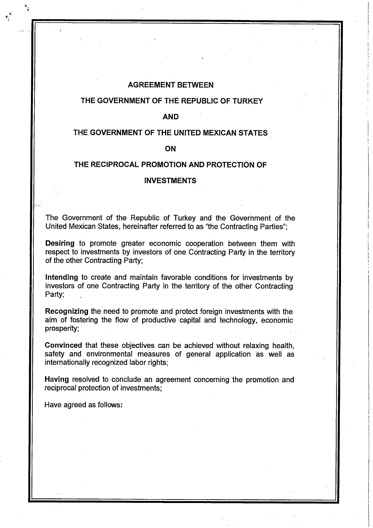#### **AGREEMENT BETWEEN**

#### **THE GOVERNMENT OF THE REPUBLIC OF TURKEY**

**AND**

#### **THE GOVERNMENT OF THE UNITED MEXICAN STATES**

#### **ON**

# **THE RECIPROCAL PROMOTION AND PROTECTION OF**

#### **INVESTMENTS**

The Government of the Republic of Turkey and the Government of the United Mexican States, hereinafter referred to as "the Contracting Parties": **!**

**Desiring** to promote greater economic cooperation between them with respect to investments by investors of one Contracting Party in the territory of the other Contracting Party;

**I I I**

**intending** to create and maintain favorable conditions for investments by investors of one Contracting Party in the territory of the other Contracting Party:

**Recognizing** the need to promote and protect foreign investments with the aim of fostering the flow of productive capital and technology, economic prosperity:

**Convinced** that these objectives can be achieved without relaxing health, safety and environmental measures of general application as well as internationally recognized labor rights;

**Having** resolved to conclude an agreement concerning the promotion and reciprocal protection of investments;

Have agreed as follows:

**!**

:.-l .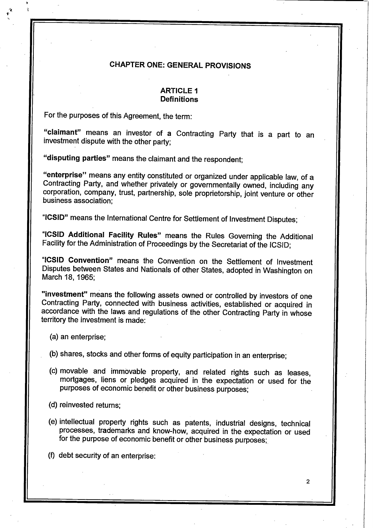# **CHAPTER ONE: GENERAL PROVISIONS**

## **ARTICLE 1 Definitions**

For the purposes of this Agreement, the term;

"claimant" means an investor of a Contracting Party that is a part to an investment dispute with the other party;

**"disputing parties"** means the claimant and the respondent;

**"enterprise"** means any entity constituted or organized under applicable law, of a Contracting Party, and whether privately or governmentally owned, including any corporation, company, trust, partnership, sole proprietorship, joint venture or other business association;

**"ICSID"** means the International Centre for Settlement of Investment Disputes;

**"ICSID Additional Facility Rules"** means the Rules Governing the Additional Facility for the Administration of Proceedings by the Secretariat of the ICSID;

**"ICSID Convention"** means the Convention on the Settlement of Investment Disputes between States and Nationals of other States, adopted in Washington on March 18, 1965;

**"investment"** means the following assets owned or controlled by investors of one Contracting Party, connected with business activities, established or acquired in accordance with the laws and regulations of the other Contracting Party in whose territory the investment is made:

- (a) an enterprise;
- (b) shares, stocks and other forms of equity participation in an enterprise;
- (c) movable and immovable property, and related rights such as leases, mortgages, liens or pledges acquired in the expectation or used for the purposes of economic benefit or other business purposes;

(d) reinvested returns;

(e) intellectual property rights such as patents, industrial designs, technical processes, trademarks and know-how, acquired in the expectation or used for the purpose of economic benefit or other business purposes;

**2**

(f) debt security of an enterprise: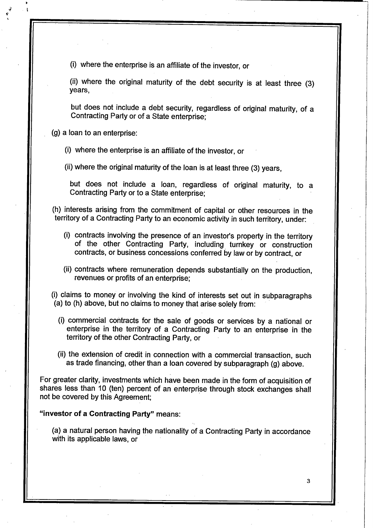(i) where the enterprise is an affiliate of the investor, or

(ii) where the original maturity of the debt security is at least three (3) years,

but does not include a debt security, regardless of original maturity, of a Contracting Party or of a State enterprise;

(g) a loan to an enterprise:

(i) where the enterprise is an affiliate of the investor, or

(ii) where the original maturity of the loan is at least three (3) years,

but does not include a loan, regardless of original maturity, to a Contracting Party or to a State enterprise;

(h) interests arising from the commitment of capital or other resources in the territory of a Contracting Party to an economic activity in such territory, under:

- (i) contracts involving the presence of an investor's property in the territory of the other Contracting Party, including turnkey or construction contracts, or business concessions conferred by law or by contract, or
- (ii) contracts where remuneration depends substantially on the production, revenues or profits of an enterprise;

(i) claims to money or involving the kind of interests set out in subparagraphs (a) to (h) above, but no claims to money that arise solely from:

- (i) commercial contracts for the sale of goods or services by a national or enterprise in the territory of a Contracting Party to an enterprise in the territory of the other Contracting Party, or
- (ii) the extension of credit in connection with a commercial transaction, such as trade financing, other than **a** loan covered by subparagraph (g) above.

For greater clarity, investments which have been made in the form of acquisition of shares less than 10 (ten) percent of an enterprise through stock exchanges shall not be covered by this Agreement;

## **"investor of a Contracting Party"** means:

(a) a natural person having the nationality of a Contracting Party in accordance with its applicable laws, or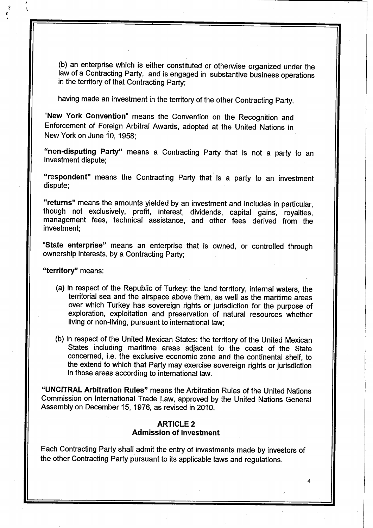(b) an enterprise which is either constituted or otherwise organized under the law of a Contracting Party, and is engaged in substantive business operations in the territory of that Contracting Party;

having made an investment in the territory of the other Contracting Party.

**"New York Convention"** means the Convention on the Recognition and Enforcement of Foreign Arbitral Awards, adopted at the United Nations in New York on June 10, 1958;

**"non-disputing Party"** means a Contracting Party that is not a party to an investment dispute;

**"respondent"** means the Contracting Party that is a party to an investment dispute;

**"returns"** means the amounts yielded by an investment and includes in particular, though not exclusively, profit, interest, dividends, capital gains, royalties, management fees, technical assistance, and other fees derived from the investment;

**"State enterprise"** means an enterprise that is owned, or controlled through ownership interests, by a Contracting Party;

**"territory"** means:

*% \*

- (a) in respect of the Republic of Turkey: the land territory, internal waters, the territorial sea and the airspace above them, as well as the maritime areas over which Turkey has sovereign rights or jurisdiction for the purpose of exploration, exploitation and preservation of natural resources whether living or non-living, pursuant to international law;
- (b) in respect of the United Mexican States: the territory of the United Mexican States including maritime areas adjacent to the coast of the State concerned, i.e. the exclusive economic zone and the continental shelf, to the extend to which that Party may exercise sovereign rights or jurisdiction in those areas according to international law.

**"UNCITRAL Arbitration Rules"** means the Arbitration Rules of the United Nations Commission on International Trade Law, approved by the United Nations General Assembly on December 15, 1976, as revised in 2010.

## **ARTICLE 2 Admission of Investment**

Each Contracting Party shall admit the entry of investments made by investors of the other Contracting Party pursuant to its applicable laws and regulations.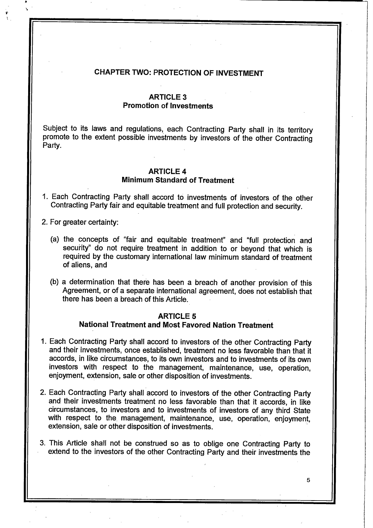# CHAPTER TWO: PROTECTION OF INVESTMENT

## **ARTICLE 3 Promotion of Investments**

Subject to its laws and regulations, each Contracting Party shall in its territory promote to the extent possible investments by investors of the other Contracting Party.

## **ARTICLE 4 Minimum Standard of Treatment**

1. Each Contracting Party shall accord to investments of investors of the other Contracting Party fair and equitable treatment and full protection and security.

2. For greater certainty:

- (a) the concepts of "fair and equitable treatment" and "full protection and security" do not require treatment in addition to or beyond that which is required by the customary international law minimum standard of treatment of aliens, and
- (b) a determination that there has been a breach of another provision of this Agreement, or of a separate international agreement, does not establish that there has been a breach of this Article.

# **ARTICLE 5**

# **National Treatment and Most Favored Nation Treatment**

- 1. Each Contracting Party shall accord to investors of the other Contracting Party and their investments, once established, treatment no less favorable than that it accords, in like circumstances, to its own investors and to investments of its own investors with respect to the management, maintenance, use, operation, enjoyment, extension, sale or other disposition of investments.
- 2. Each Contracting Party shall accord to investors of the other Contracting Party and their investments treatment no less favorable than that it accords, in like circumstances, to investors and to investments of investors of any third State with respect to the management, maintenance, use, operation, enjoyment, extension, sale or other disposition of investments.
- 3. This Article shall not be construed so as to oblige one Contracting Party to extend to the investors of the other Contracting Party and their investments the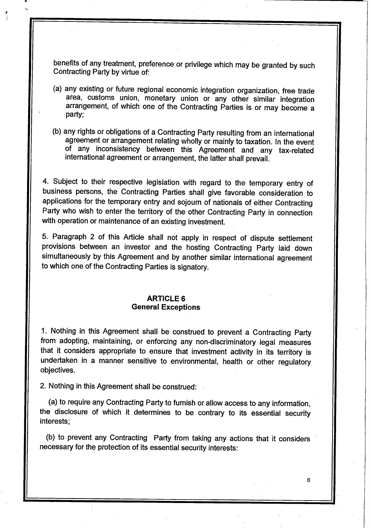benefits of any treatment, preference or privilege which may be granted by such Contracting Party by virtue of:

- (a) any existing or future regional economic integration organization, free trade area, customs union, monetary union or any other similar integration arrangement, of which one of the Contracting Parties is or may become a party:
- (b) any rights or obligations of a Contracting Party resulting from an international agreement or arrangement relating wholly or mainly to taxation. In the event of any inconsistency between this Agreement and any tax-related international agreement or arrangement, the latter shall prevail.

4. Subject to their respective legislation with regard to the temporary entry of business persons, the Contracting Parties shall give favorable consideration to applications for the temporary entry and sojourn of nationals of either Contracting Party who wish to enter the territory of the other Contracting Party in connection with operation or maintenance of an existing investment.

5. Paragraph 2 of this Article shall not apply in respect of dispute settlement provisions between an investor and the hosting Contracting Party laid down simultaneously by this Agreement and by another similar international agreement to which one of the Contracting Parties is signatory.

# **ARTICLE 6 General Exceptions**

1. Nothing in this Agreement shall be construed to prevent a Contracting Party from adopting, maintaining, or enforcing any non-discriminatory legal measures that it considers appropriate to ensure that investment activity in its territory is undertaken in a manner sensitive to environmental, health or other regulatory objectives.

2. Nothing in this Agreement shall be construed:

(a) to require any Contracting Party to furnish or allow access to any information, the disclosure of which it determines to be contrary to its essential security interests:

(b) to prevent any Contracting Party from taking any actions that it considers necessary for the protection of its essential security interests: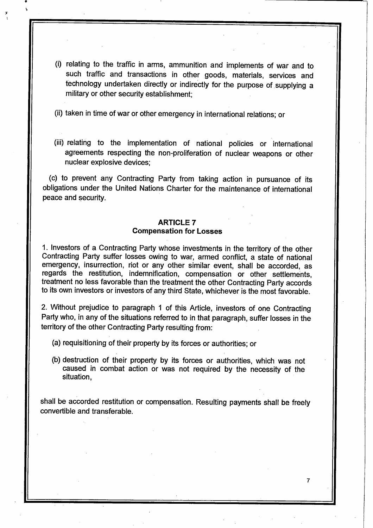(i) relating to the traffic in arms, ammunition and implements of war and to such traffic and transactions in other goods, materials, services and technology undertaken directly or indirectly for the purpose of supplying a military or other security establishment;

(ii) taken in time of war or other emergency in international relations; or

(iii) relating to the implementation of national policies or international agreements respecting the non-proliferation of nuclear weapons or other nuclear explosive devices;

(c) to prevent any Contracting Party from taking action in pursuance of its obligations under the United Nations Charter for the maintenance of international peace and security.

# **ARTICLE 7**

## **Compensation for Losses**

1. Investors of a Contracting Party whose investments in the territory of the other Contracting Party suffer losses owing to war, armed conflict, a state of national emergency, insurrection, riot or any other similar event, shall be accorded, as regards the restitution, indemnification, compensation or other settlements, treatment no less favorable than the treatment the other Contracting Party accords to its own investors or investors of any third State, whichever is the most favorable.

2. Without prejudice to paragraph 1 of this Article, investors of one Contracting Party who, in any of the situations referred to in that paragraph, suffer losses in the territory of the other Contracting Party resulting from:

(a) requisitioning of their property by its forces or authorities; or

(b) destruction of their property by its forces or authorities, which was not caused in combat action or was not required by the necessity of the situation.

shall be accorded restitution or compensation. Resulting payments shall be freely convertible and transferable.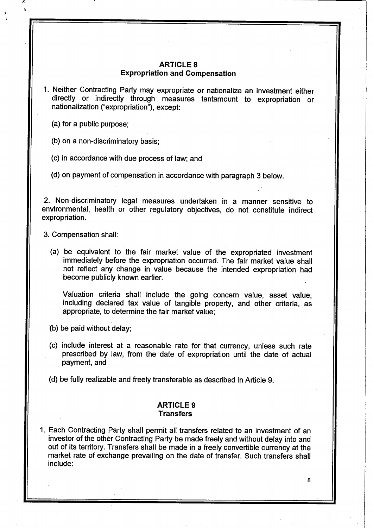# **ARTICLE 8 Expropriation and Compensation**

- 1. Neither Contracting Party may expropriate or nationalize an investment either directly or indirectly through measures tantamount to expropriation or nationalization ("expropriation"), except:
	- (a) for a public purpose;

(b) on a non-discriminatory basis;

- (c) in accordance with due process of iaw; and
- (d) on payment of compensation in accordance with paragraph 3 below.

2. Non-discriminatory legal measures undertaken in a manner sensitive to environmental, health or other regulatory objectives, do not constitute indirect expropriation.

3. Compensation shall:

(a) be equivalent to the fair market value of the expropriated investment immediately before the expropriation occurred. The fair market value shall not reflect any change in value because the intended expropriation had become publicly known earlier.

Valuation criteria shall include the going concern value, asset value, including declared tax value of tangible property, and other criteria, as appropriate, to determine the fair market value;

- (b) be paid without delay;
- (c) include interest at a reasonable rate for that currency, unless such rate prescribed by law, from the date of expropriation until the date of actual payment, and

(d) be fully realizable and freely transferable as described in Article 9.

#### **ARTICLE 9 Transfers**

1. Each Contracting Party shall permit all transfers related to an investment of an investor of the other Contracting Party be made freely and without delay into and out of its territory. Transfers shall be made in a freely convertible currency at the market rate of exchange prevailing on the date of transfer. Such transfers shall include: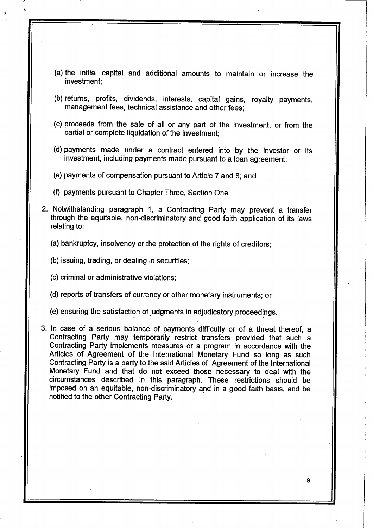- (a) the initial capital and additional amounts to maintain or increase the investment:
- (b) returns, profits, dividends, interests, capital gains, royalty payments, management fees, technical assistance and other fees;
- (c) proceeds from the sale of all or any part of the investment, or from the partial or complete liquidation of the investment;
- (d) payments made under a contract entered into by the investor or its investment, including payments made pursuant to a loan agreement;
- (e) payments of compensation pursuant to Article 7 and 8; and
- (f) payments pursuant to Chapter Three, Section One.
- 2. Notwithstanding paragraph 1, a Contracting Party may prevent a transfer through the equitable, non-discriminatory and good faith application of its laws relating to:
	- (a) bankruptcy, insolvency or the protection of the rights of creditors;
	- (b) issuing, trading, or dealing in securities;
	- (c) criminal or administrative violations;
	- (d) reports of transfers of currency or other monetary instruments; or
	- (e) ensuring the satisfaction of judgments in adjudicatory proceedings.
- 3. In case of a serious balance of payments difficulty or of a threat thereof, a Contracting Party may temporarily restrict transfers provided that such a Contracting Party implements measures or a program in accordance with the Articles of Agreement of the International Monetary Fund so long as such Contracting Party is a party to the said Articles of Agreement of the International Monetary Fund and that do not exceed those necessary to deal with the circumstances described in this paragraph. These restrictions should be imposed on an equitable, non-discriminatory and in a good faith basis, and be notified to the other Contracting Party.

**g**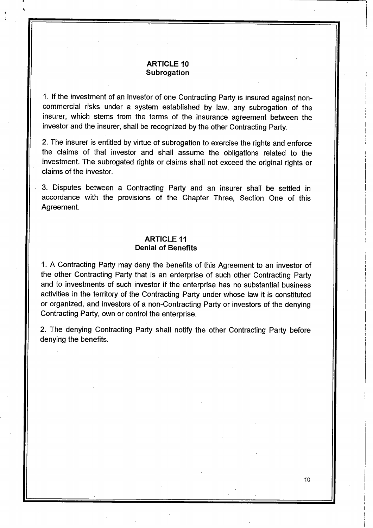# **ARTICLE 10 Subrogation**

**\*'**

*i*

1. If the investment of an investor of one Contracting Party is insured against noncommercial risks under a system established by law, any subrogation of the insurer, which stems from the terms of the insurance agreement between the investor and the insurer, shall be recognized by the other Contracting Party.

**1**

**I I**

**I** *I*

**I**

**I I**

**I**

**I I**

**(**

**I I**

**I**

**I I**

**10**

2. The insurer is entitled by virtue of subrogation to exercise the rights and enforce the claims of that investor and shall assume the obligations related to the investment. The subrogated rights or claims shall not exceed the original rights or claims of the investor.

3. Disputes between a Contracting Party and an insurer shall be settled in accordance with the provisions of the Chapter Three, Section One of this Agreement.

# **ARTICLE 11 Denial of Benefits**

1. A Contracting Party may deny the benefits of this Agreement to an investor of the other Contracting Party that is an enterprise of such other Contracting Party and to investments of such investor if the enterprise has no substantial business activities in the territory of the Contracting Party under whose law it is constituted or organized, and investors of a non-Contracting Party or investors of the denying Contracting Party, own or control the enterprise.

2. The denying Contracting Party shall notify the other Contracting Party before denying the benefits.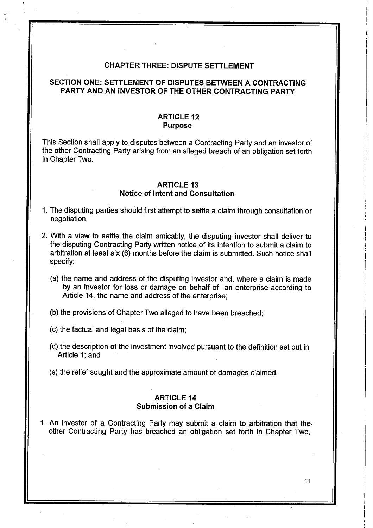#### CHAPTER THREE: DISPUTE SETTLEMENT

# SECTION ONE: SETTLEMENT OF DISPUTES BETWEEN A CONTRACTING PARTY AND AN INVESTOR OF THE OTHER CONTRACTING PARTY

## **ARTICLE 12 Purpose**

This Section shall apply to disputes between a Contracting Party and an investor of the other Contracting Party arising from an alleged breach of an obligation set forth in Chapter Two.

## **ARTICLE 13 Notice of Intent and Consultation**

- 1. The disputing parties should first attempt to settle a claim through consultation or negotiation.
- 2. With a view to settle the claim amicably, the disputing investor shall deliver to the disputing Contracting Party written notice of its intention to submit a claim to arbitration at least six (6) months before the claim is submitted. Such notice shall specify:
	- (a) the name and address of the disputing investor and, where a claim is made by an investor for loss or damage on behalf of an enterprise according to Article 14, the name and address of the enterprise;

(b) the provisions of Chapter Two alleged to have been breached;

(c) the factual and legal basis of the claim;

- (d) the description of the investment involved pursuant to the definition set out in Article 1; and
- (e) the relief sought and the approximate amount of damages claimed.

## **ARTICLE 14 Submission of a Claim**

1. An investor of a Contracting Party may submit a claim to arbitration that the other Contracting Party has breached an obligation set forth in Chapter Two,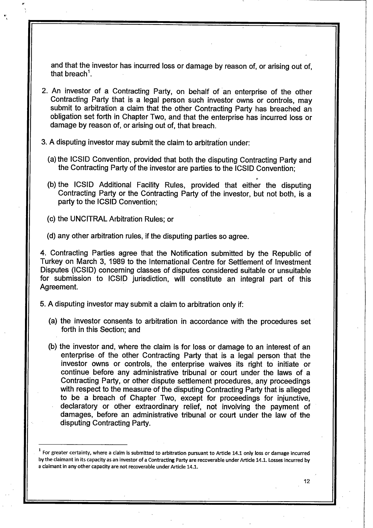and that the investor has incurred loss or damage by reason of, or arising out of, that breach<sup>1</sup>.

- 2. An investor of a Contracting Party, on behalf of an enterprise of the other Contracting Party that is a legal person such investor owns or controls, may submit to arbitration a claim that the other Contracting Party has breached an obligation set forth in Chapter Two, and that the enterprise has incurred loss or damage by reason of, or arising out of, that breach.
- 3. A disputing investor may submit the claim to arbitration under:
	- (a) the ICSID Convention, provided that both the disputing Contracting Party and the Contracting Party of the investor are parties to the ICSID Convention;
	- (b) the ICSID Additional Facility Rules, provided that either the disputing Contracting Party or the Contracting Party of the investor, but not both, is a party to the ICSID Convention;
	- (c) the UNCITRAL Arbitration Rules; or
	- (d) any other arbitration rules, if the disputing parties so agree.

4. Contracting Parties agree that the Notification submitted by the Republic of Turkey on March 3, 1989 to the International Centre for Settlement of Investment Disputes (ICSID) concerning classes of disputes considered suitable or unsuitable for submission to ICSID jurisdiction, will constitute an integral part of this Agreement.

- 5. A disputing investor may submit a claim to arbitration only if:
	- (a) the investor consents to arbitration in accordance with the procedures set forth in this Section; and
	- (b) the investor and, where the claim is for loss or damage to an interest of an enterprise of the other Contracting Party that is a legal person that the investor owns or controls, the enterprise waives its right to initiate or continue before any administrative tribunal or court under the laws of a Contracting Party, or other dispute settlement procedures, any proceedings with respect to the measure of the disputing Contracting Party that is alleged to be a breach of Chapter Two, except for proceedings for injunctive, declaratory or other extraordinary relief, not involving the payment of damages, before an administrative tribunal or court under the law of the disputing Contracting Party.

 $^1$  For greater certainty, where a claim is submitted to arbitration pursuant to Article 14.1 only loss or damage incurred by the claimant in its capacity as an investor of a Contracting Party are recoverable under Article 14.1. Losses incurred by a claimant in any other capacity are not recoverable under Article 14.1.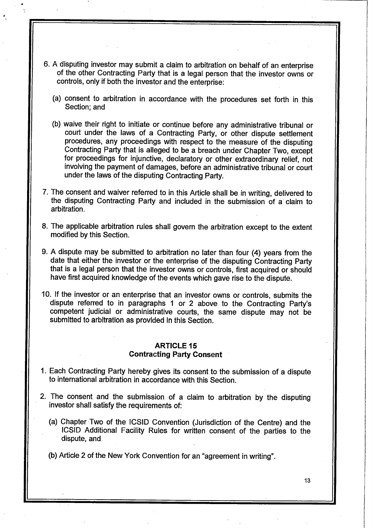- 6. A disputing investor may submit a claim to arbitration on behalf of an enterprise of the other Contracting Party that is a legal person that the investor owns or controls, only if both the investor and the enterprise;
	- (a) consent to arbitration in accordance with the procedures set forth in this Section: and
	- (b) waive their right to initiate or continue before any administrative tribunal or court under the laws of a Contracting Party, or other dispute settlement procedures, any proceedings with respect to the measure of the disputing Contracting Party that is alleged to be a breach under Chapter Two, except for proceedings for injunctive, declaratory or other extraordinary relief, not involving the payment of damages, before an administrative tribunal or court under the laws of the disputing Contracting Party.
- 7. The consent and waiver referred to in this Article shall be in writing, delivered to the disputing Contracting Party and included in the submission of a claim to arbitration.
- 8. The applicable arbitration rules shall govern the arbitration except to the extent modified by this Section.
- 9. A dispute may be submitted to arbitration no later than four (4) years from the date that either the investor or the enterprise of the disputing Contracting Party that is a legal person that the investor owns or controls, first acquired or should have first acquired knowledge of the events which gave rise to the dispute.
- 10. If the investor or an enterprise that an investor owns or controls, submits the dispute referred to in paragraphs 1 or 2 above to the Contracting Party's competent judicial or administrative courts, the same dispute may not be submitted to arbitration as provided In this Section.

## **ARTICLE 15 Contracting Party Consent**

- 1. Each Contracting Party hereby gives its consent to the submission of a dispute to international arbitration in accordance with this Section.
- 2. The consent and the submission of a claim to arbitration by the disputing investor shall satisfy the requirements of:
	- (a) Chapter Two of the ICSID Convention (Jurisdiction of the Centre) and the ICSID Additional Facility Rules for written consent of the parties to the dispute, and

**13**

(b) Article 2 of the New York Convention for an "agreement in writing".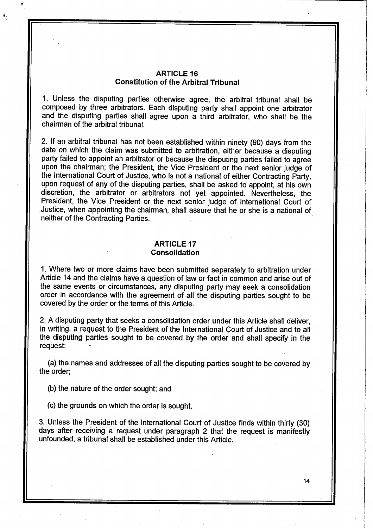## **ARTICLE 16 Constitution of the Arbitral Tribunal**

1. Unless the disputing parties otherwise agree, the arbitral tribunal shall be composed by three arbitrators. Each disputing party shall appoint one arbitrator and the disputing parties shall agree upon a third arbitrator, who shall be the chairman of the arbitral tribunal.

2. If an arbitral tribunal has not been established within ninety (90) days from the date on which the claim was submitted to arbitration, either because a disputing party failed to appoint an arbitrator or because the disputing parties failed to agree upon the chairman; the President, the Vice President or the next senior judge of the International Court of Justice, who is not a national of either Contracting Party, upon request of any of the disputing parties, shall be asked to appoint, at his own discretion, the arbitrator or arbitrators not yet appointed. Nevertheless, the President, the Vice President or the next senior judge of International Court of Justice, when appointing the chairman, shall assure that he or she is a national of neither of the Contracting Parties.

# **ARTICLE 17 Consolidation**

**1.** Where two or more claims have been submitted separately to arbitration under Article 14 and the claims have a question of law or fact in common and arise out of the same events or circumstances, any disputing party may seek **a** consolidation order in accordance with the agreement of all the disputing parties sought to be covered by the order or the terms of this Article.

2. A disputing party that seeks a consolidation order under this Article shall deliver, in writing, a request to the President of the International Court of Justice and to all the disputing parties sought to be covered by the order and shall specify in the request;

(a) the names and addresses of all the disputing parties sought to be covered by the order;

(b) the nature of the order sought; and

(c) the grounds on which the order is sought.

3. Unless the President of the International Court of Justice finds within thirty (30) days after receiving a request under paragraph 2 that the request is manifestly unfounded, a tribunal shall be established under this Article.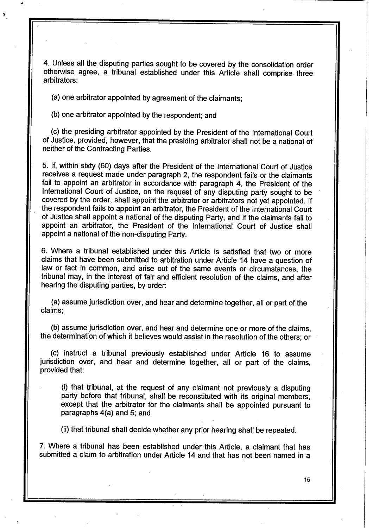4. Unless all the disputing parties sought to be covered by the consolidation order otherwise agree, a tribunal established under this Article shall comprise three arbitrators;

(a) one arbitrator appointed by agreement of the claimants;

(b) one arbitrator appointed by the respondent; and

(c) the presiding arbitrator appointed by the President of the International Court of Justice, provided, however, that the presiding arbitrator shall not be a national of neither of the Contracting Parties.

5. If, within sixty (60) days after the President of the International Court of Justice receives a request made under paragraph 2, the respondent fails or the claimants fail to appoint an arbitrator in accordance with paragraph 4, the President of the International Court of Justice, on the request of any disputing party sought to be covered by the order, shall appoint the arbitrator or arbitrators not yet appointed. If the respondent fails to appoint an arbitrator, the President of the International Court of Justice shall appoint a national of the disputing Party, and if the claimants fail to appoint an arbitrator, the President of the International Court of Justice shall appoint a national of the non-disputing Party.

6. Where a tribunal established under this Article is satisfied that two or more claims that have been submitted to arbitration under Article 14 have a question of law or fact in common, and arise out of the same events or circumstances, the tribunal may, in the interest of fair and efficient resolution of the claims, and after hearing the disputing parties, by order:

(a) assume jurisdiction over, and hear and determine together, all or part of the claims;

(b) assume jurisdiction over, and hear and determine one or more of the claims, the determination of which it believes would assist in the resolution of the others; or

(c) instruct a tribunal previously established under Article 16 to assume jurisdiction over, and hear and determine together, all or part of the claims, provided that:

(i) that tribunal, at the request of any claimant not previously a disputing party before that tribunal, shall be reconstituted with its original members, except that the arbitrator for the claimants shall be appointed pursuant to paragraphs 4(a) and 5; and

(ii) that tribunal shall decide whether any prior hearing shall be repeated.

7. Where a tribunal has been established under this Article, a claimant that has submitted a claim to arbitration under Article 14 and that has not been named in a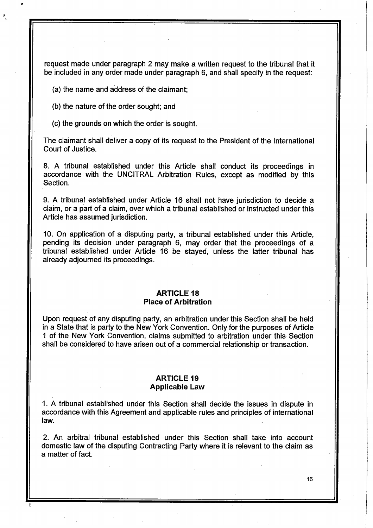request made under paragraph 2 may make a written request to the tribunal that it be included in any order made under paragraph 6, and shall specify in the request:

(a) the name and address of the claimant;

(b) the nature of the order sought; and

(c) the grounds on which the order is sought.

The claimant shall deliver a copy of its request to the President of the International Court of Justice.

8. A tribunal established under this Article shall conduct its proceedings in accordance with the UNCITRAL Arbitration Rules, except as modified by this Section.

9. A tribunal established under Article 16 shall not have jurisdiction to decide a claim, or a part of a claim, over which a tribunal established or instructed under this Article has assumed jurisdiction.

10. On application of a disputing party, a tribunal established under this Article, pending its decision under paragraph 6, may order that the proceedings of a tribunal established under Article 16 be stayed, unless the latter tribunal has already adjourned its proceedings.

#### **ARTICLE 18 Place of Arbitration**

Upon request of any disputing party, an arbitration under this Section shall be held in a State that is party to the New York Convention. Only for the purposes of Article 1 of the New York Convention, claims submitted to arbitration under this Section shall be considered to have arisen out of a commercial relationship or transaction.

### **ARTICLE 19 Applicable Law**

1. A tribunal established under this Section shall decide the issues in dispute in accordance with this Agreement and applicable rules and principles of international law.

2. An arbitral tribunal established under this Section shall take into account domestic law of the disputing Contracting Party where it is relevant to the claim as a matter of fact.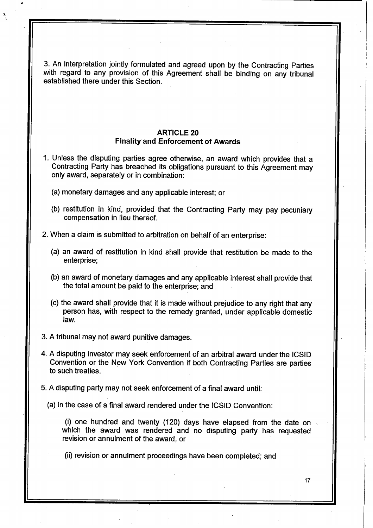3. An interpretation jointly formulated and agreed upon by the Contracting Parties with regard to any provision of this Agreement shall be binding on any tribunal established there under this Section.

# **ARTICLE 20 Finality and Enforcement of Awards**

- 1. Unless the disputing parties agree otherwise, an award which provides that a Contracting Party has breached its obligations pursuant to this Agreement may only award, separately or in combination:
	- (a) monetary damages and any applicable interest; or
	- (b) restitution in kind, provided that the Contracting Party may pay pecuniary compensation in lieu thereof.
- 2. When a claim is submitted to arbitration on behalf of an enterprise:
	- (a) an award of restitution in kind shall provide that restitution be made to the enterprise;
	- (b) an award of monetary damages and any applicable interest shall provide that the total amount be paid to the enterprise; and
	- (c) the award shall provide that it is made without prejudice to any right that any person has, with respect to the remedy granted, under applicable domestic law.
- 3. A tribunal may not award punitive damages.
- 4. A disputing investor may seek enforcement of an arbitral award under the ICSID Convention or the New York Convention if both Contracting Parties are parties to such treaties.
- 5. A disputing party may not seek enforcement of a final award until:
	- (a) in the case of a final award rendered under the ICSID Convention:

(i) one hundred and twenty (120) days have elapsed from the date on which the award was rendered and no disputing party has requested revision or annulment of the award, or

**17**

(ii) revision or annulment proceedings have been completed; and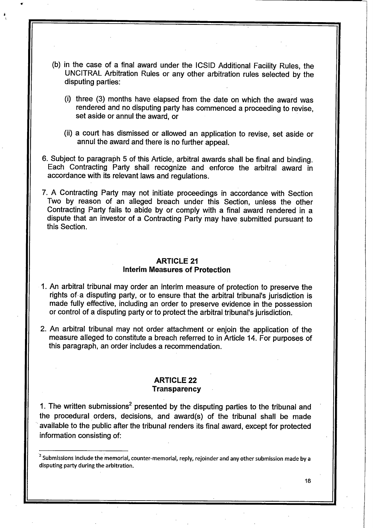- (b) in the case of a final award under the ICSID Additional Facility Rules, the UNCITRAL Arbitration Rules or any other arbitration rules selected by the disputing parties:
	- (i) three (3) months have elapsed from the date on which the award was rendered and no disputing party has commenced a proceeding to revise, set aside or annul the award, or
	- (ii) a court has dismissed or allowed an application to revise, set aside or annul the award and there is no further appeal.
- 6. Subject to paragraph 5 of this Article, arbitral awards shall be final and binding. Each Contracting Party shall recognize and enforce the arbitral award in accordance with its relevant laws and regulations.
- 7. A Contracting Party may not initiate proceedings in accordance with Section Two by reason of an alleged breach under this Section, unless the other Contracting Party fails to abide by or comply with a final award rendered in a dispute that an investor of a Contracting Party may have submitted pursuant to this Section.

# **ARTICLE 21 Interim Measures of Protection**

- 1. An arbitral tribunal may order an interim measure of protection to preserve the rights of a disputing party, or to ensure that the arbitral tribunal's jurisdiction is made fully effective, including an order to preserve evidence in the possession or control of a disputing party or to protect the arbitral tribunal's jurisdiction.
- 2. An arbitral tribunal may not order attachment or enjoin the application of the measure alleged to constitute a breach referred to in Article 14. For purposes of this paragraph, an order includes a recommendation.

#### **ARTICLE 22 Transparency**

1. The written submissions<sup>2</sup> presented by the disputing parties to the tribunal and the procedural orders, decisions, and award(s) of the tribunal shall be made available to the public after the tribunal renders its final award, except for protected information consisting of:

 $^2$  Submissions include the memorial, counter-memorial, reply, rejoinder and any other submission made by a disputing party during the arbitration.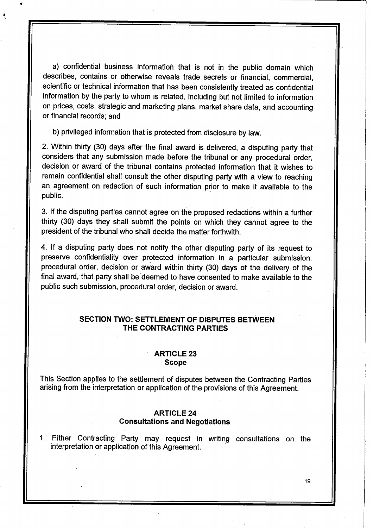a) confidential business information that is not in the public domain which describes, contains or otherwise reveals trade secrets or financial, commercial, scientific or technical information that has been consistently treated as confidential information by the party to whom is related, including but not limited to information on prices, costs, strategic and marketing plans, market share data, and accounting or financial records; and

b) privileged information that is protected from disclosure by law.

2. Within thirty (30) days after the final award is delivered, a disputing party that considers that any submission made before the tribunal or any procedural order, decision or award of the tribunal contains protected information that it wishes to remain confidential shall consult the other disputing party with a view to reaching an agreement on redaction of such information prior to make it available to the public.

3. If the disputing parties cannot agree on the proposed redactions within a further thirty (30) days they shall submit the points on which they cannot agree to the president of the tribunal who shall decide the matter forthwith.

4. If a disputing party does not notify the other disputing party of its request to preserve confidentiality over protected information in a particular submission, procedural order, decision or award within thirty (30) days of the delivery of the final award, that party shall be deemed to have consented to make available to the public such submission, procedural order, decision or award.

# **SECTION TWO: SETTLEMENT OF DISPUTES BETWEEN THE CONTRACTING PARTIES**

#### **ARTICLE 23 Scope**

This Section applies to the settlement of disputes between the Contracting Parties arising from the interpretation or application of the provisions of this Agreement.

## **ARTICLE 24 Consultations and Negotiations**

1. Either Contracting Party may request in writing consultations on the interpretation or application of this Agreement.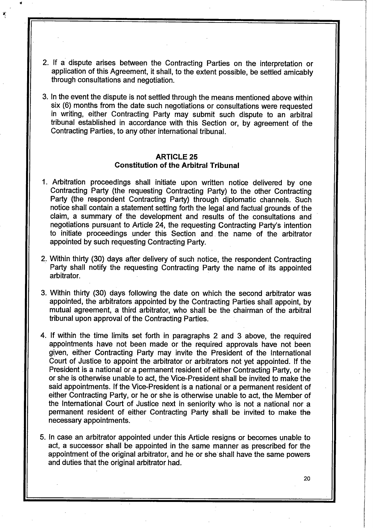2. If a dispute arises between the Contracting Parties on the interpretation or application of this Agreement, it shall, to the extent possible, be settled amicably through consultations and negotiation.

**a:**

3. In the event the dispute is not settled through the means mentioned above within six (6) months from the date such negotiations or consultations were requested in writing, either Contracting Party may submit such dispute to an arbitral tribunal established in accordance with this Section or, by agreement of the Contracting Parties, to any other international tribunal.

## **ARTICLE 25 Constitution of the Arbitral Tribunal**

- 1. Arbitration proceedings shall initiate upon written notice delivered by one Contracting Party (the requesting Contracting Party) to the other Contracting Party (the respondent Contracting Party) through diplomatic channels. Such notice shall contain a statement setting forth the legal and factual grounds of the claim, a summary of the development and results of the consultations and negotiations pursuant to Article 24, the requesting Contracting Party's intention to initiate proceedings under this Section and the name of the arbitrator appointed by such requesting Contracting Party.
- 2. Within thirty (30) days after delivery of such notice, the respondent Contracting Party shall notify the requesting Contracting Party the name of its appointed arbitrator.
- 3. Within thirty (30) days following the date on which the second arbitrator was appointed, the arbitrators appointed by the Contracting Parties shall appoint, by mutual agreement, a third arbitrator, who shall be the chairman of the arbitral tribunal upon approval of the Contracting Parties.
- 4. If within the time limits set forth in paragraphs 2 and 3 above, the required appointments have not been made or the required approvals have not been given, either Contracting Party may invite the President of the International Court of Justice to appoint the arbitrator or arbitrators not yet appointed. If the President is a national or a permanent resident of either Contracting Party, or he or she is otherwise unable to act, the Vice-President shall be invited to make the said appointments. If the Vice-President is a national or a permanent resident of either Contracting Party, or he or she is otherwise unable to act, the Member of the International Court of Justice next in seniority who is not a national nor a permanent resident of either Contracting Party shall be invited to make the necessary appointments.
- 5. In case an arbitrator appointed under this Article resigns or becomes unable to act, a successor shall be appointed in the same manner as prescribed for the appointment of the original arbitrator, and he or she shall have the same powers and duties that the original arbitrator had.

**20**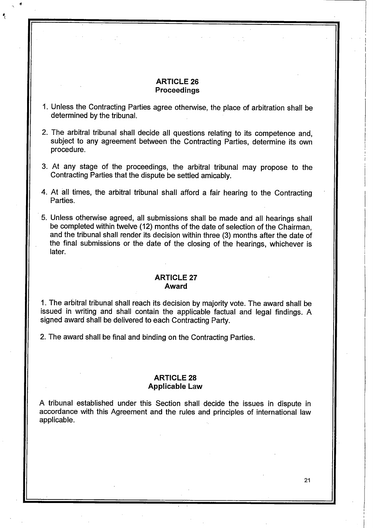## **ARTICLE 26 Proceedings**

- 1. Unless the Contracting Parties agree otherwise, the place of arbitration shall be determined by the tribunal.
- 2. The arbitral tribunal shall decide all questions relating to its competence and, subject to any agreement between the Contracting Parties, determine its own procedure.
- 3. At any stage of the proceedings, the arbitral tribunal may propose to the Contracting Parties that the dispute be settled amicably.
- 4. At all times, the arbitral tribunal shall afford a fair hearing to the Contracting Parties.
- 5. Unless otherwise agreed, all submissions shall be made and all hearings shall be completed within twelve (12) months of the date of selection of the Chairman, and the tribunal shall render its decision within three (3) months after the date of the final submissions or the date of the closing of the hearings, whichever is later.

## **ARTICLE 27 Award**

1. The arbitral tribunal shall reach its decision by majority vote. The award shall be issued in writing and shall contain the applicable factual and legal findings. A signed award shall be delivered to each Contracting Party.

2. The award shall be final and binding on the Contracting Parties.

# **ARTICLE 28 Applicable Law**

A tribunal established under this Section shall decide the issues in dispute in accordance with this Agreement and the rules and principles of international law applicable.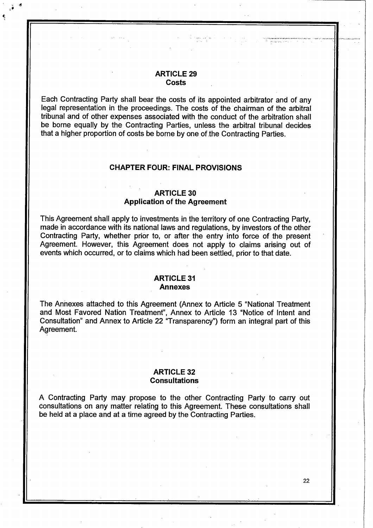## **ARTICLE 29 Costs**

Each Contracting Party shall bear the costs of its appointed arbitrator and of any legal representation in the proceedings. The costs of the chairman of the arbitral tribunal and of other expenses associated with the conduct of the arbitration shall be borne equally by the Contracting Parties, unless the arbitral tribunal decides that a higher proportion of costs be borne by one of the Contracting Parties.

#### **CHAPTER FOUR: FINAL PROVISIONS**

## **ARTICLE 30 Application of the Agreement**

This Agreement shall apply to investments in the territory of one Contracting Party, made in accordance with its national laws and regulations, by investors of the other Contracting Party, whether prior to, or after the entry into force of the present Agreement. However, this Agreement does not apply to claims arising out of events which occurred, or to claims which had been settled, prior to that date.

#### **ARTICLE 31 Annexes**

The Annexes attached to this Agreement (Annex to Article 5 "National Treatment and Most Favored Nation Treatment", Annex to Article 13 "Notice of Intent and Consultation" and Annex to Article 22 "Transparency") form an integral part of this Agreement.

## **ARTICLE 32 Consultations**

A Contracting Party may propose to the other Contracting Party to carry out consultations on any matter relating to this Agreement. These consultations shall be held at a place and at a time agreed by the Contracting Parties.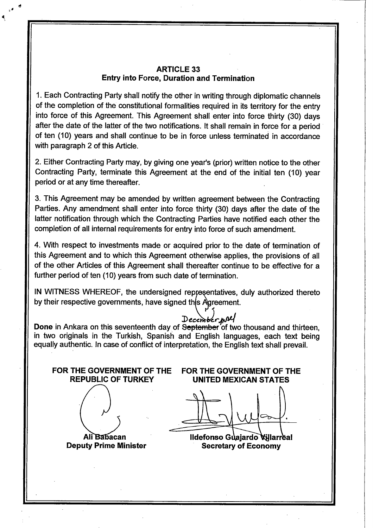# **ARTICLE 33 Entry into Force, Duration and Termination**

1. Each Contracting Party shall notify the other in writing through diplomatic channels of the completion of the constitutional formalities required in its territory for the entry into force of this Agreement. This Agreement shall enter into force thirty (30) days after the date of the latter of the two notifications. It shall remain in force for a period of ten (10) years and shall continue to be in force unless terminated in accordance with paragraph 2 of this Article.

2. Either Contracting Party may, by giving one year's (prior) written notice to the other Contracting Party, terminate this Agreement at the end of the initial ten (10) year period or at any time thereafter.

3. This Agreement may be amended by written agreement between the Contracting Parties. Any amendment shall enter into force thirty (30) days after the date of the latter notification through which the Contracting Parties have notified each other the completion of all internal requirements for entry into force of such amendment.

4. With respect to investments made or acquired prior to the date of termination of this Agreement and to which this Agreement othenwise applies, the provisions of all of the other Articles of this Agreement shall thereafter continue to be effective for a further period of ten (10) years from such date of termination.

IN WITNESS WHEREOF, the undersigned representatives, duly authorized thereto by their respective governments, have signed this Agreement.

**December yould September on this seventeenth day of September of two thousand and thirteen,** in two originals in the Turkish, Spanish and English languages, each text being equally authentic. In case of conflict of interpretation, the English text shall prevail.

**AM lacan**

**Deputy Prime Minister**

FOR THE GOVERNMENT OF THE FOR THE GOVERNMENT OF THE REPUBLIC OF TURKEY UNITED MEXICAN STATES **UNITED MEXICAN STATES** 

**lldefonso Gi\ajardo^larreal Secretary of Economy**